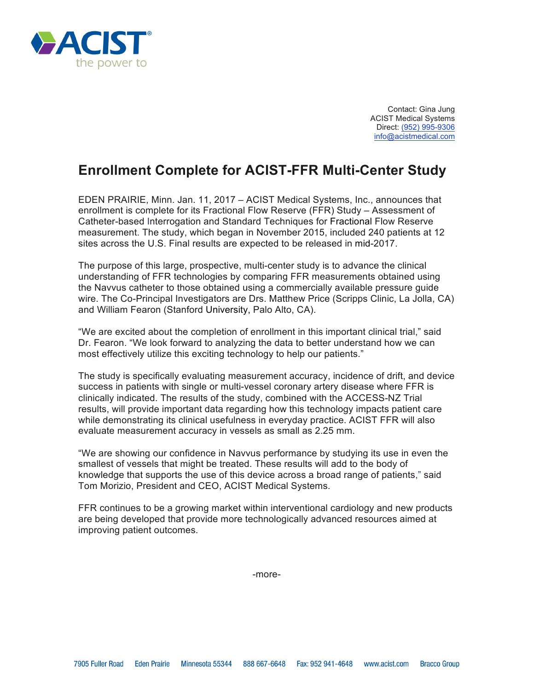

Contact: Gina Jung ACIST Medical Systems Direct: (952) 995-9306 info@acistmedical.com

## **Enrollment Complete for ACIST-FFR Multi-Center Study**

EDEN PRAIRIE, Minn. Jan. 11, 2017 – ACIST Medical Systems, Inc., announces that enrollment is complete for its Fractional Flow Reserve (FFR) Study – Assessment of Catheter-based Interrogation and Standard Techniques for Fractional Flow Reserve measurement. The study, which began in November 2015, included 240 patients at 12 sites across the U.S. Final results are expected to be released in mid-2017.

The purpose of this large, prospective, multi-center study is to advance the clinical understanding of FFR technologies by comparing FFR measurements obtained using the Navvus catheter to those obtained using a commercially available pressure guide wire. The Co-Principal Investigators are Drs. Matthew Price (Scripps Clinic, La Jolla, CA) and William Fearon (Stanford University, Palo Alto, CA).

"We are excited about the completion of enrollment in this important clinical trial," said Dr. Fearon. "We look forward to analyzing the data to better understand how we can most effectively utilize this exciting technology to help our patients."

The study is specifically evaluating measurement accuracy, incidence of drift, and device success in patients with single or multi-vessel coronary artery disease where FFR is clinically indicated. The results of the study, combined with the ACCESS-NZ Trial results, will provide important data regarding how this technology impacts patient care while demonstrating its clinical usefulness in everyday practice. ACIST FFR will also evaluate measurement accuracy in vessels as small as 2.25 mm.

"We are showing our confidence in Navvus performance by studying its use in even the smallest of vessels that might be treated. These results will add to the body of knowledge that supports the use of this device across a broad range of patients," said Tom Morizio, President and CEO, ACIST Medical Systems.

FFR continues to be a growing market within interventional cardiology and new products are being developed that provide more technologically advanced resources aimed at improving patient outcomes.

-more-